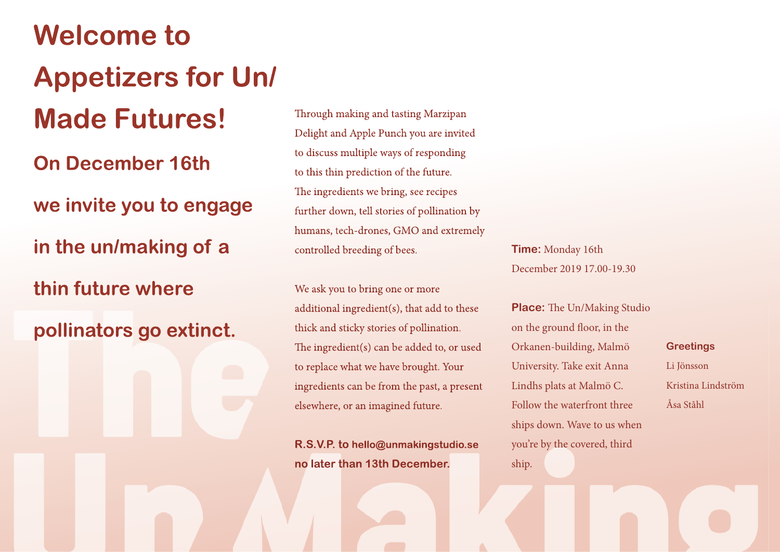**Welcome to Appetizers for Un/ Made Futures! On December 16th we invite you to engage in the un/making of a thin future where pollinators go extinct.** 

Through making and tasting Marzipan Delight and Apple Punch you are invited to discuss multiple ways of responding to this thin prediction of the future. The ingredients we bring, see recipes further down, tell stories of pollination by humans, tech-drones, GMO and extremely controlled breeding of bees.

We ask you to bring one or more additional ingredient(s), that add to these thick and sticky stories of pollination. The ingredient(s) can be added to, or used to replace what we have brought. Your ingredients can be from the past, a present elsewhere, or an imagined future.

**R.S.V.P. to hello@unmakingstudio.se no later than 13th December.** 

**Time:** Monday 16th December 2019 17.00-19.30

**Place:** The Un/Making Studio on the ground floor, in the Orkanen-building, Malmö University. Take exit Anna Lindhs plats at Malmö C. Follow the waterfront three ships down. Wave to us when you're by the covered, third ship.

**Greetings**

Li Jönsson Kristina Lindström Åsa Ståhl